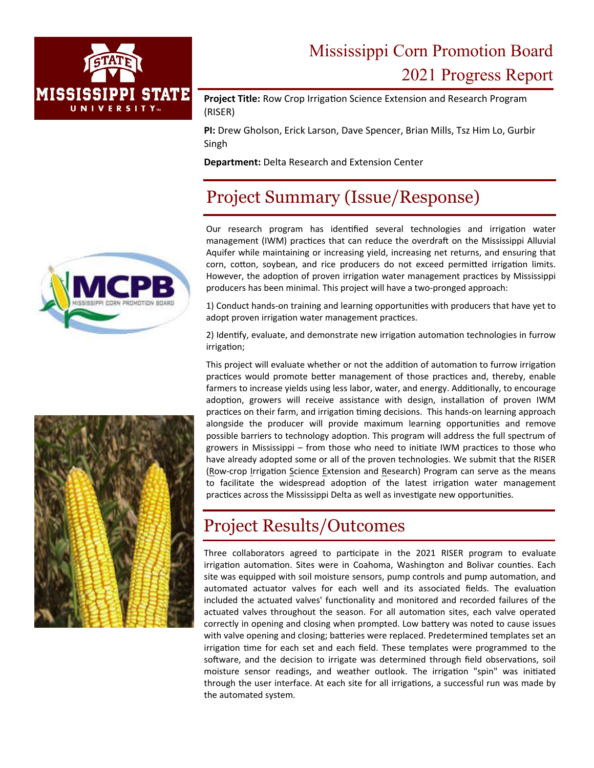

# Mississippi Corn Promotion Board 2021 Progress Report

**Project Title: Row Crop Irrigation Science Extension and Research Program** (RISER)

**PI:** Drew Gholson, Erick Larson, Dave Spencer, Brian Mills, Tsz Him Lo, Gurbir Singh

**Department:** Delta Research and Extension Center

# Project Summary (Issue/Response)

Our research program has identified several technologies and irrigation water management (IWM) practices that can reduce the overdraft on the Mississippi Alluvial Aquifer while maintaining or increasing yield, increasing net returns, and ensuring that corn, cotton, soybean, and rice producers do not exceed permitted irrigation limits. However, the adoption of proven irrigation water management practices by Mississippi producers has been minimal. This project will have a two‐pronged approach:

1) Conduct hands-on training and learning opportunities with producers that have yet to adopt proven irrigation water management practices.

2) Identify, evaluate, and demonstrate new irrigation automation technologies in furrow irrigation;

This project will evaluate whether or not the addition of automation to furrow irrigation practices would promote better management of those practices and, thereby, enable farmers to increase yields using less labor, water, and energy. Additionally, to encourage adoption, growers will receive assistance with design, installation of proven IWM practices on their farm, and irrigation timing decisions. This hands-on learning approach alongside the producer will provide maximum learning opportunities and remove possible barriers to technology adoption. This program will address the full spectrum of growers in Mississippi – from those who need to initiate IWM practices to those who have already adopted some or all of the proven technologies. We submit that the RISER (Row-crop Irrigation Science Extension and Research) Program can serve as the means to facilitate the widespread adoption of the latest irrigation water management practices across the Mississippi Delta as well as investigate new opportunities.

# Project Results/Outcomes

Three collaborators agreed to participate in the 2021 RISER program to evaluate irrigation automation. Sites were in Coahoma, Washington and Bolivar counties. Each site was equipped with soil moisture sensors, pump controls and pump automation, and automated actuator valves for each well and its associated fields. The evaluation included the actuated valves' functionality and monitored and recorded failures of the actuated valves throughout the season. For all automation sites, each valve operated correctly in opening and closing when prompted. Low battery was noted to cause issues with valve opening and closing; batteries were replaced. Predetermined templates set an irrigation time for each set and each field. These templates were programmed to the software, and the decision to irrigate was determined through field observations, soil moisture sensor readings, and weather outlook. The irrigation "spin" was initiated through the user interface. At each site for all irrigations, a successful run was made by the automated system.



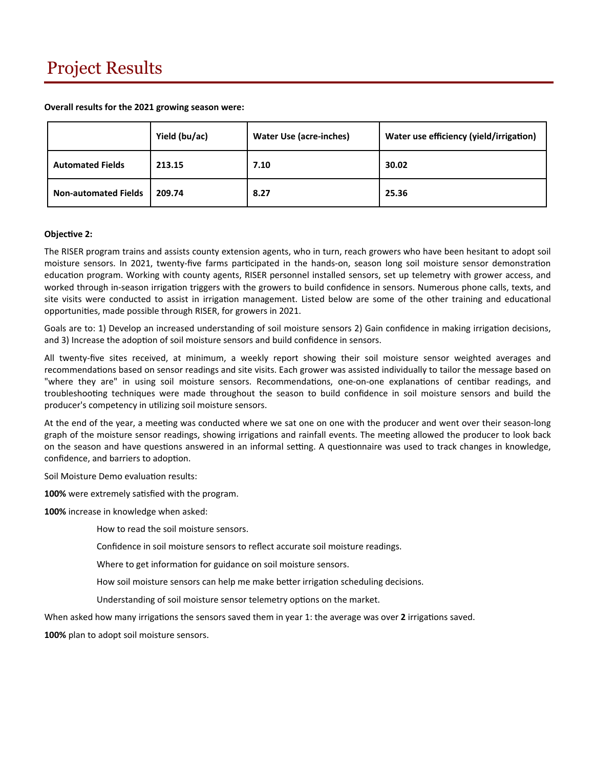**Overall results for the 2021 growing season were:** 

|                             | Yield (bu/ac) | Water Use (acre-inches) | Water use efficiency (yield/irrigation) |
|-----------------------------|---------------|-------------------------|-----------------------------------------|
| <b>Automated Fields</b>     | 213.15        | 7.10                    | 30.02                                   |
| <b>Non-automated Fields</b> | 209.74        | 8.27                    | 25.36                                   |

#### **ObjecƟve 2:**

The RISER program trains and assists county extension agents, who in turn, reach growers who have been hesitant to adopt soil moisture sensors. In 2021, twenty-five farms participated in the hands-on, season long soil moisture sensor demonstration education program. Working with county agents, RISER personnel installed sensors, set up telemetry with grower access, and worked through in-season irrigation triggers with the growers to build confidence in sensors. Numerous phone calls, texts, and site visits were conducted to assist in irrigation management. Listed below are some of the other training and educational opportuniƟes, made possible through RISER, for growers in 2021.

Goals are to: 1) Develop an increased understanding of soil moisture sensors 2) Gain confidence in making irrigation decisions, and 3) Increase the adoption of soil moisture sensors and build confidence in sensors.

All twenty‐five sites received, at minimum, a weekly report showing their soil moisture sensor weighted averages and recommendations based on sensor readings and site visits. Each grower was assisted individually to tailor the message based on "where they are" in using soil moisture sensors. Recommendations, one-on-one explanations of centibar readings, and troubleshooting techniques were made throughout the season to build confidence in soil moisture sensors and build the producer's competency in utilizing soil moisture sensors.

At the end of the year, a meeting was conducted where we sat one on one with the producer and went over their season-long graph of the moisture sensor readings, showing irrigations and rainfall events. The meeting allowed the producer to look back on the season and have questions answered in an informal setting. A questionnaire was used to track changes in knowledge, confidence, and barriers to adoption.

Soil Moisture Demo evaluation results:

**100%** were extremely satisfied with the program.

**100%** increase in knowledge when asked:

How to read the soil moisture sensors.

Confidence in soil moisture sensors to reflect accurate soil moisture readings.

Where to get information for guidance on soil moisture sensors.

How soil moisture sensors can help me make better irrigation scheduling decisions.

Understanding of soil moisture sensor telemetry options on the market.

When asked how many irrigations the sensors saved them in year 1: the average was over 2 irrigations saved.

**100%** plan to adopt soil moisture sensors.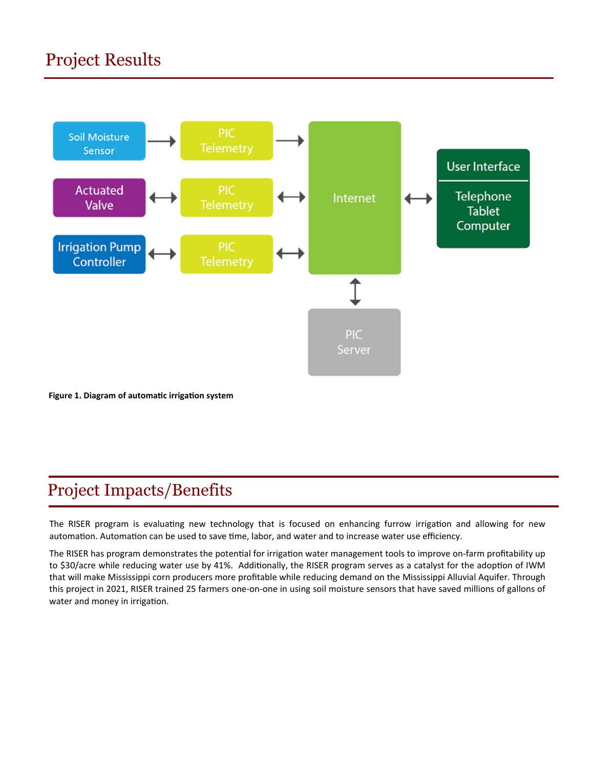# Project Results



**Figure 1. Diagram of automaƟc irrigaƟon system** 

# Project Impacts/Benefits

The RISER program is evaluating new technology that is focused on enhancing furrow irrigation and allowing for new automation. Automation can be used to save time, labor, and water and to increase water use efficiency.

The RISER has program demonstrates the potential for irrigation water management tools to improve on-farm profitability up to \$30/acre while reducing water use by 41%. Additionally, the RISER program serves as a catalyst for the adoption of IWM that will make Mississippi corn producers more profitable while reducing demand on the Mississippi Alluvial Aquifer. Through this project in 2021, RISER trained 25 farmers one‐on‐one in using soil moisture sensors that have saved millions of gallons of water and money in irrigation.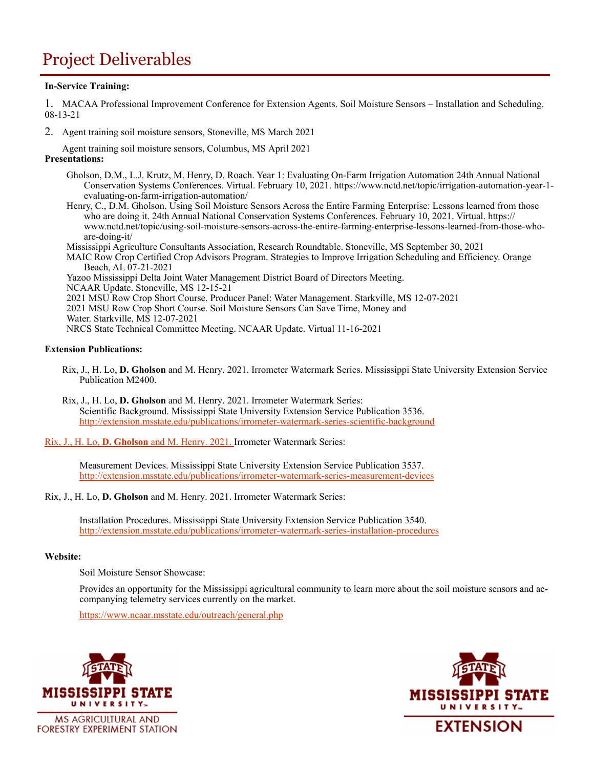### Project Deliverables

### **In-Service Training:**

1. MACAA Professional Improvement Conference for Extension Agents. Soil Moisture Sensors – Installation and Scheduling. 08-13-21

2. Agent training soil moisture sensors, Stoneville, MS March 2021

Agent training soil moisture sensors, Columbus, MS April 2021 **Presentations:** 

- Gholson, D.M., L.J. Krutz, M. Henry, D. Roach. Year 1: Evaluating On-Farm Irrigation Automation 24th Annual National Conservation Systems Conferences. Virtual. February 10, 2021. https://www.nctd.net/topic/irrigation-automation-year-1 evaluating-on-farm-irrigation-automation/
- Henry, C., D.M. Gholson. Using Soil Moisture Sensors Across the Entire Farming Enterprise: Lessons learned from those who are doing it. 24th Annual National Conservation Systems Conferences. February 10, 2021. Virtual. https:// www.nctd.net/topic/using-soil-moisture-sensors-across-the-entire-farming-enterprise-lessons-learned-from-those-whoare-doing-it/
- Mississippi Agriculture Consultants Association, Research Roundtable. Stoneville, MS September 30, 2021
- MAIC Row Crop Certified Crop Advisors Program. Strategies to Improve Irrigation Scheduling and Efficiency. Orange Beach, AL 07-21-2021

Yazoo Mississippi Delta Joint Water Management District Board of Directors Meeting. NCAAR Update. Stoneville, MS 12-15-21

- 2021 MSU Row Crop Short Course. Producer Panel: Water Management. Starkville, MS 12-07-2021
- 2021 MSU Row Crop Short Course. Soil Moisture Sensors Can Save Time, Money and
- Water. Starkville, MS 12-07-2021
- NRCS State Technical Committee Meeting. NCAAR Update. Virtual 11-16-2021

#### **Extension Publications:**

- Rix, J., H. Lo, **D. Gholson** and M. Henry. 2021. Irrometer Watermark Series. Mississippi State University Extension Service Publication M2400.
- Rix, J., H. Lo, **D. Gholson** and M. Henry. 2021. Irrometer Watermark Series: Scientific Background. Mississippi State University Extension Service Publication 3536. http://extension.msstate.edu/publications/irrometer-watermark-series-scientific-background
- Rix, J., H. Lo, **D. Gholson** and M. Henry. 2021. Irrometer Watermark Series:

Measurement Devices. Mississippi State University Extension Service Publication 3537. http://extension.msstate.edu/publications/irrometer-watermark-series-measurement-devices

Rix, J., H. Lo, **D. Gholson** and M. Henry. 2021. Irrometer Watermark Series:

Installation Procedures. Mississippi State University Extension Service Publication 3540. http://extension.msstate.edu/publications/irrometer-watermark-series-installation-procedures

#### **Website:**

Soil Moisture Sensor Showcase:

Provides an opportunity for the Mississippi agricultural community to learn more about the soil moisture sensors and accompanying telemetry services currently on the market.

https://www.ncaar.msstate.edu/outreach/general.php